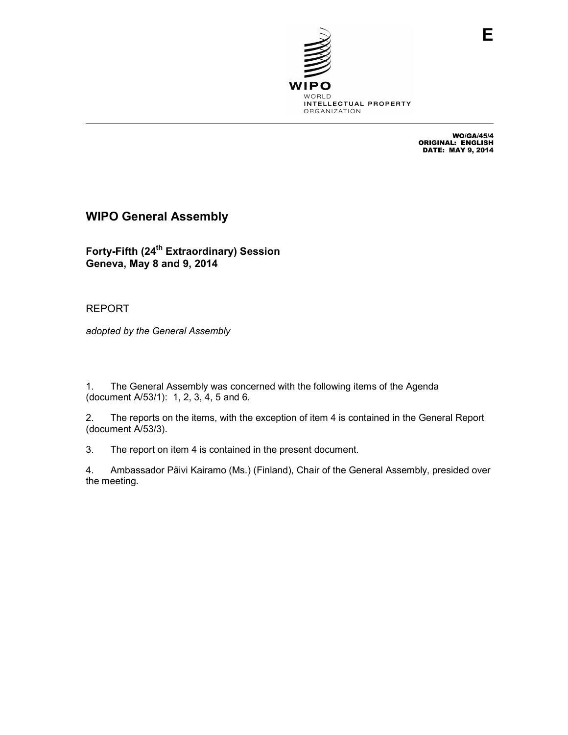

WO/GA/45/4<br>ORIGINAL: ENGLISH<br>DATE: MAY 9, 2014

# **WIPO General Assembly**

**Forty-Fifth (24th Extraordinary) Session Geneva, May 8 and 9, 2014** 

REPORT

*adopted by the General Assembly* 

1. The General Assembly was concerned with the following items of the Agenda (document A/53/1): 1, 2, 3, 4, 5 and 6.

2. The reports on the items, with the exception of item 4 is contained in the General Report (document A/53/3).

3. The report on item 4 is contained in the present document.

4. Ambassador Päivi Kairamo (Ms.) (Finland), Chair of the General Assembly, presided over the meeting.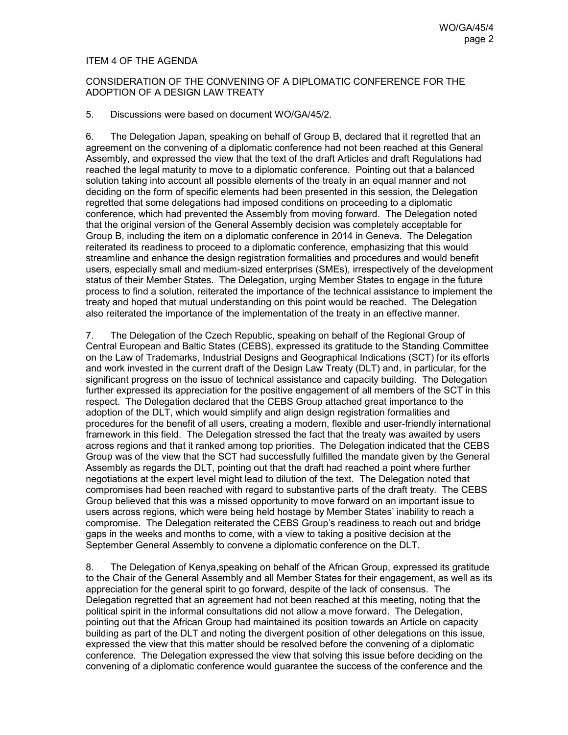# ITEM 4 OF THE AGENDA

# CONSIDERATION OF THE CONVENING OF A DIPLOMATIC CONFERENCE FOR THE ADOPTION OF A DESIGN LAW TREATY

#### 5. Discussions were based on document WO/GA/45/2.

6. The Delegation Japan, speaking on behalf of Group B, declared that it regretted that an agreement on the convening of a diplomatic conference had not been reached at this General Assembly, and expressed the view that the text of the draft Articles and draft Regulations had reached the legal maturity to move to a diplomatic conference. Pointing out that a balanced solution taking into account all possible elements of the treaty in an equal manner and not deciding on the form of specific elements had been presented in this session, the Delegation regretted that some delegations had imposed conditions on proceeding to a diplomatic conference, which had prevented the Assembly from moving forward. The Delegation noted that the original version of the General Assembly decision was completely acceptable for Group B, including the item on a diplomatic conference in 2014 in Geneva. The Delegation reiterated its readiness to proceed to a diplomatic conference, emphasizing that this would streamline and enhance the design registration formalities and procedures and would benefit users, especially small and medium-sized enterprises (SMEs), irrespectively of the development status of their Member States. The Delegation, urging Member States to engage in the future process to find a solution, reiterated the importance of the technical assistance to implement the treaty and hoped that mutual understanding on this point would be reached. The Delegation also reiterated the importance of the implementation of the treaty in an effective manner.

7. The Delegation of the Czech Republic, speaking on behalf of the Regional Group of Central European and Baltic States (CEBS), expressed its gratitude to the Standing Committee on the Law of Trademarks, Industrial Designs and Geographical Indications (SCT) for its efforts and work invested in the current draft of the Design Law Treaty (DLT) and, in particular, for the significant progress on the issue of technical assistance and capacity building. The Delegation further expressed its appreciation for the positive engagement of all members of the SCT in this respect. The Delegation declared that the CEBS Group attached great importance to the adoption of the DLT, which would simplify and align design registration formalities and procedures for the benefit of all users, creating a modern, flexible and user-friendly international framework in this field. The Delegation stressed the fact that the treaty was awaited by users across regions and that it ranked among top priorities. The Delegation indicated that the CEBS Group was of the view that the SCT had successfully fulfilled the mandate given by the General Assembly as regards the DLT, pointing out that the draft had reached a point where further negotiations at the expert level might lead to dilution of the text. The Delegation noted that compromises had been reached with regard to substantive parts of the draft treaty. The CEBS Group believed that this was a missed opportunity to move forward on an important issue to users across regions, which were being held hostage by Member States' inability to reach a compromise. The Delegation reiterated the CEBS Group's readiness to reach out and bridge gaps in the weeks and months to come, with a view to taking a positive decision at the September General Assembly to convene a diplomatic conference on the DLT.

8. The Delegation of Kenya,speaking on behalf of the African Group, expressed its gratitude to the Chair of the General Assembly and all Member States for their engagement, as well as its appreciation for the general spirit to go forward, despite of the lack of consensus. The Delegation regretted that an agreement had not been reached at this meeting, noting that the political spirit in the informal consultations did not allow a move forward. The Delegation, pointing out that the African Group had maintained its position towards an Article on capacity building as part of the DLT and noting the divergent position of other delegations on this issue, expressed the view that this matter should be resolved before the convening of a diplomatic conference. The Delegation expressed the view that solving this issue before deciding on the convening of a diplomatic conference would guarantee the success of the conference and the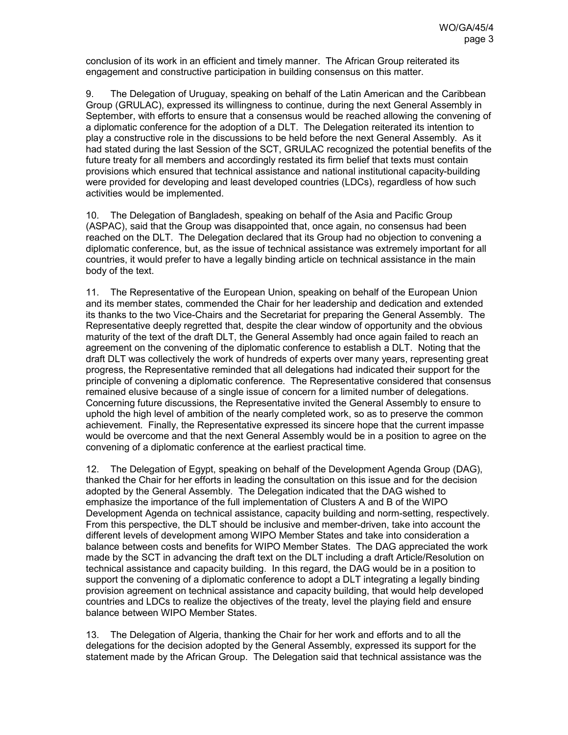conclusion of its work in an efficient and timely manner. The African Group reiterated its engagement and constructive participation in building consensus on this matter.

9. The Delegation of Uruguay, speaking on behalf of the Latin American and the Caribbean Group (GRULAC), expressed its willingness to continue, during the next General Assembly in September, with efforts to ensure that a consensus would be reached allowing the convening of a diplomatic conference for the adoption of a DLT. The Delegation reiterated its intention to play a constructive role in the discussions to be held before the next General Assembly. As it had stated during the last Session of the SCT, GRULAC recognized the potential benefits of the future treaty for all members and accordingly restated its firm belief that texts must contain provisions which ensured that technical assistance and national institutional capacity-building were provided for developing and least developed countries (LDCs), regardless of how such activities would be implemented.

10. The Delegation of Bangladesh, speaking on behalf of the Asia and Pacific Group (ASPAC), said that the Group was disappointed that, once again, no consensus had been reached on the DLT. The Delegation declared that its Group had no objection to convening a diplomatic conference, but, as the issue of technical assistance was extremely important for all countries, it would prefer to have a legally binding article on technical assistance in the main body of the text.

11. The Representative of the European Union, speaking on behalf of the European Union and its member states, commended the Chair for her leadership and dedication and extended its thanks to the two Vice-Chairs and the Secretariat for preparing the General Assembly. The Representative deeply regretted that, despite the clear window of opportunity and the obvious maturity of the text of the draft DLT, the General Assembly had once again failed to reach an agreement on the convening of the diplomatic conference to establish a DLT. Noting that the draft DLT was collectively the work of hundreds of experts over many years, representing great progress, the Representative reminded that all delegations had indicated their support for the principle of convening a diplomatic conference. The Representative considered that consensus remained elusive because of a single issue of concern for a limited number of delegations. Concerning future discussions, the Representative invited the General Assembly to ensure to uphold the high level of ambition of the nearly completed work, so as to preserve the common achievement. Finally, the Representative expressed its sincere hope that the current impasse would be overcome and that the next General Assembly would be in a position to agree on the convening of a diplomatic conference at the earliest practical time.

12. The Delegation of Egypt, speaking on behalf of the Development Agenda Group (DAG), thanked the Chair for her efforts in leading the consultation on this issue and for the decision adopted by the General Assembly. The Delegation indicated that the DAG wished to emphasize the importance of the full implementation of Clusters A and B of the WIPO Development Agenda on technical assistance, capacity building and norm-setting, respectively. From this perspective, the DLT should be inclusive and member-driven, take into account the different levels of development among WIPO Member States and take into consideration a balance between costs and benefits for WIPO Member States. The DAG appreciated the work made by the SCT in advancing the draft text on the DLT including a draft Article/Resolution on technical assistance and capacity building. In this regard, the DAG would be in a position to support the convening of a diplomatic conference to adopt a DLT integrating a legally binding provision agreement on technical assistance and capacity building, that would help developed countries and LDCs to realize the objectives of the treaty, level the playing field and ensure balance between WIPO Member States.

13. The Delegation of Algeria, thanking the Chair for her work and efforts and to all the delegations for the decision adopted by the General Assembly, expressed its support for the statement made by the African Group. The Delegation said that technical assistance was the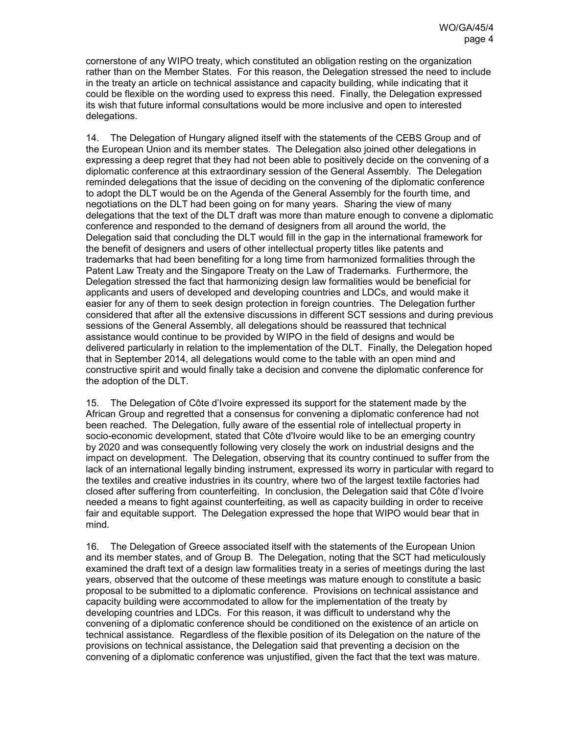cornerstone of any WIPO treaty, which constituted an obligation resting on the organization rather than on the Member States. For this reason, the Delegation stressed the need to include in the treaty an article on technical assistance and capacity building, while indicating that it could be flexible on the wording used to express this need. Finally, the Delegation expressed its wish that future informal consultations would be more inclusive and open to interested delegations.

14. The Delegation of Hungary aligned itself with the statements of the CEBS Group and of the European Union and its member states. The Delegation also joined other delegations in expressing a deep regret that they had not been able to positively decide on the convening of a diplomatic conference at this extraordinary session of the General Assembly. The Delegation reminded delegations that the issue of deciding on the convening of the diplomatic conference to adopt the DLT would be on the Agenda of the General Assembly for the fourth time, and negotiations on the DLT had been going on for many years. Sharing the view of many delegations that the text of the DLT draft was more than mature enough to convene a diplomatic conference and responded to the demand of designers from all around the world, the Delegation said that concluding the DLT would fill in the gap in the international framework for the benefit of designers and users of other intellectual property titles like patents and trademarks that had been benefiting for a long time from harmonized formalities through the Patent Law Treaty and the Singapore Treaty on the Law of Trademarks. Furthermore, the Delegation stressed the fact that harmonizing design law formalities would be beneficial for applicants and users of developed and developing countries and LDCs, and would make it easier for any of them to seek design protection in foreign countries. The Delegation further considered that after all the extensive discussions in different SCT sessions and during previous sessions of the General Assembly, all delegations should be reassured that technical assistance would continue to be provided by WIPO in the field of designs and would be delivered particularly in relation to the implementation of the DLT. Finally, the Delegation hoped that in September 2014, all delegations would come to the table with an open mind and constructive spirit and would finally take a decision and convene the diplomatic conference for the adoption of the DLT.

15. The Delegation of Côte d'Ivoire expressed its support for the statement made by the African Group and regretted that a consensus for convening a diplomatic conference had not been reached. The Delegation, fully aware of the essential role of intellectual property in socio-economic development, stated that Côte d'Ivoire would like to be an emerging country by 2020 and was consequently following very closely the work on industrial designs and the impact on development. The Delegation, observing that its country continued to suffer from the lack of an international legally binding instrument, expressed its worry in particular with regard to the textiles and creative industries in its country, where two of the largest textile factories had closed after suffering from counterfeiting. In conclusion, the Delegation said that Côte d'Ivoire needed a means to fight against counterfeiting, as well as capacity building in order to receive fair and equitable support. The Delegation expressed the hope that WIPO would bear that in mind.

16. The Delegation of Greece associated itself with the statements of the European Union and its member states, and of Group B. The Delegation, noting that the SCT had meticulously examined the draft text of a design law formalities treaty in a series of meetings during the last years, observed that the outcome of these meetings was mature enough to constitute a basic proposal to be submitted to a diplomatic conference. Provisions on technical assistance and capacity building were accommodated to allow for the implementation of the treaty by developing countries and LDCs. For this reason, it was difficult to understand why the convening of a diplomatic conference should be conditioned on the existence of an article on technical assistance. Regardless of the flexible position of its Delegation on the nature of the provisions on technical assistance, the Delegation said that preventing a decision on the convening of a diplomatic conference was unjustified, given the fact that the text was mature.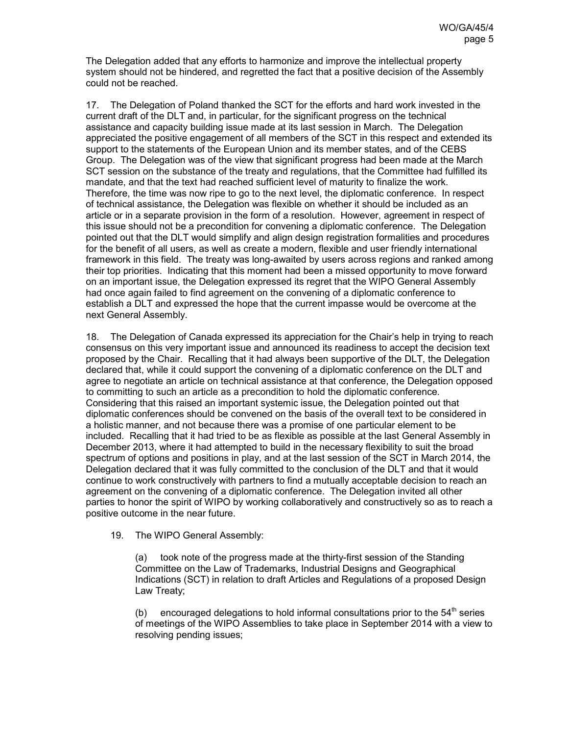The Delegation added that any efforts to harmonize and improve the intellectual property system should not be hindered, and regretted the fact that a positive decision of the Assembly could not be reached.

17. The Delegation of Poland thanked the SCT for the efforts and hard work invested in the current draft of the DLT and, in particular, for the significant progress on the technical assistance and capacity building issue made at its last session in March. The Delegation appreciated the positive engagement of all members of the SCT in this respect and extended its support to the statements of the European Union and its member states, and of the CEBS Group. The Delegation was of the view that significant progress had been made at the March SCT session on the substance of the treaty and regulations, that the Committee had fulfilled its mandate, and that the text had reached sufficient level of maturity to finalize the work. Therefore, the time was now ripe to go to the next level, the diplomatic conference. In respect of technical assistance, the Delegation was flexible on whether it should be included as an article or in a separate provision in the form of a resolution. However, agreement in respect of this issue should not be a precondition for convening a diplomatic conference. The Delegation pointed out that the DLT would simplify and align design registration formalities and procedures for the benefit of all users, as well as create a modern, flexible and user friendly international framework in this field. The treaty was long-awaited by users across regions and ranked among their top priorities. Indicating that this moment had been a missed opportunity to move forward on an important issue, the Delegation expressed its regret that the WIPO General Assembly had once again failed to find agreement on the convening of a diplomatic conference to establish a DLT and expressed the hope that the current impasse would be overcome at the next General Assembly.

18. The Delegation of Canada expressed its appreciation for the Chair's help in trying to reach consensus on this very important issue and announced its readiness to accept the decision text proposed by the Chair. Recalling that it had always been supportive of the DLT, the Delegation declared that, while it could support the convening of a diplomatic conference on the DLT and agree to negotiate an article on technical assistance at that conference, the Delegation opposed to committing to such an article as a precondition to hold the diplomatic conference. Considering that this raised an important systemic issue, the Delegation pointed out that diplomatic conferences should be convened on the basis of the overall text to be considered in a holistic manner, and not because there was a promise of one particular element to be included. Recalling that it had tried to be as flexible as possible at the last General Assembly in December 2013, where it had attempted to build in the necessary flexibility to suit the broad spectrum of options and positions in play, and at the last session of the SCT in March 2014, the Delegation declared that it was fully committed to the conclusion of the DLT and that it would continue to work constructively with partners to find a mutually acceptable decision to reach an agreement on the convening of a diplomatic conference. The Delegation invited all other parties to honor the spirit of WIPO by working collaboratively and constructively so as to reach a positive outcome in the near future.

# 19. The WIPO General Assembly:

(a) took note of the progress made at the thirty-first session of the Standing Committee on the Law of Trademarks, Industrial Designs and Geographical Indications (SCT) in relation to draft Articles and Regulations of a proposed Design Law Treaty;

(b) encouraged delegations to hold informal consultations prior to the  $54<sup>th</sup>$  series of meetings of the WIPO Assemblies to take place in September 2014 with a view to resolving pending issues;